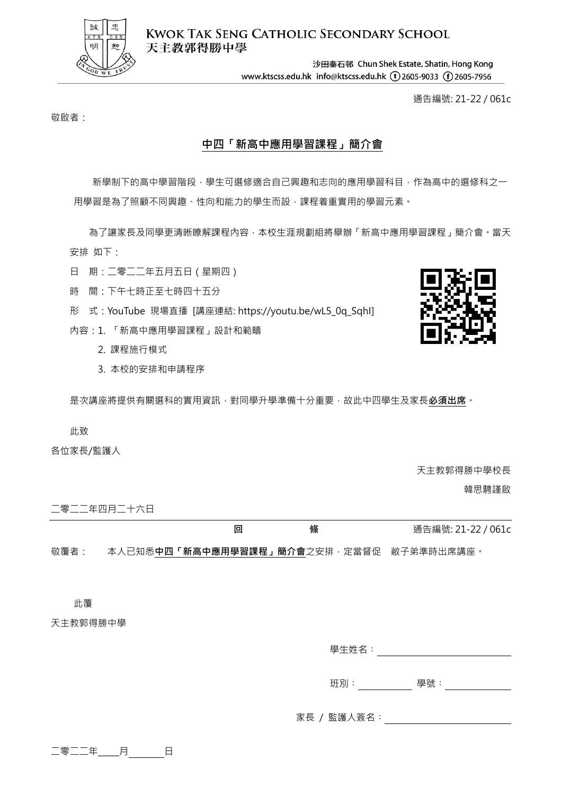

**KWOK TAK SENG CATHOLIC SECONDARY SCHOOL** 天主教郭得勝中學

> 沙田秦石邨 Chun Shek Estate, Shatin, Hong Kong www.ktscss.edu.hk info@ktscss.edu.hk (1)2605-9033 (f)2605-7956

> > 通告編號: 21-22 / 061c

敬啟者:

## **中四「新高中應用學習課程」簡介會**

新學制下的高中學習階段,學生可選修適合自己興趣和志向的應用學習科目,作為高中的選修科之一 用學習是為了照顧不同興趣、性向和能力的學生而設,課程着重實用的學習元素。

為了讓家長及同學更清晰瞭解課程內容,本校生涯規劃組將舉辦「新高中應用學習課程」簡介會。當天 安排 如下:

日 期:二零二二年五月五日(星期四)

- 時 間:下午七時正至七時四十五分
- 形 式:YouTube 現場直播 [講座連結: https://youtu.be/wL5\_0q\_SqhI]
- 內容:1. 「新高中應用學習課程」設計和範疇
	- 2. 課程施行模式
	- 3. 本校的安排和申請程序

是次講座將提供有關選科的實用資訊,對同學升學準備十分重要,故此中四學生及家長**必須出席**。

## 此致

各位家長/監護人

天主教郭得勝中學校長

韓思騁謹啟

二零二二年四月二十六日

**回 條** 通告編號: 21-22 / 061c

敬覆者: 本人已知悉**中四「新高中應用學習課程」簡介會**之安排,定當督促 敝子弟準時出席講座。

此覆

天主教郭得勝中學

學生姓名︰

班別: アンチンの 學號: アンチング かんしょう

家長 / 監護人簽名: